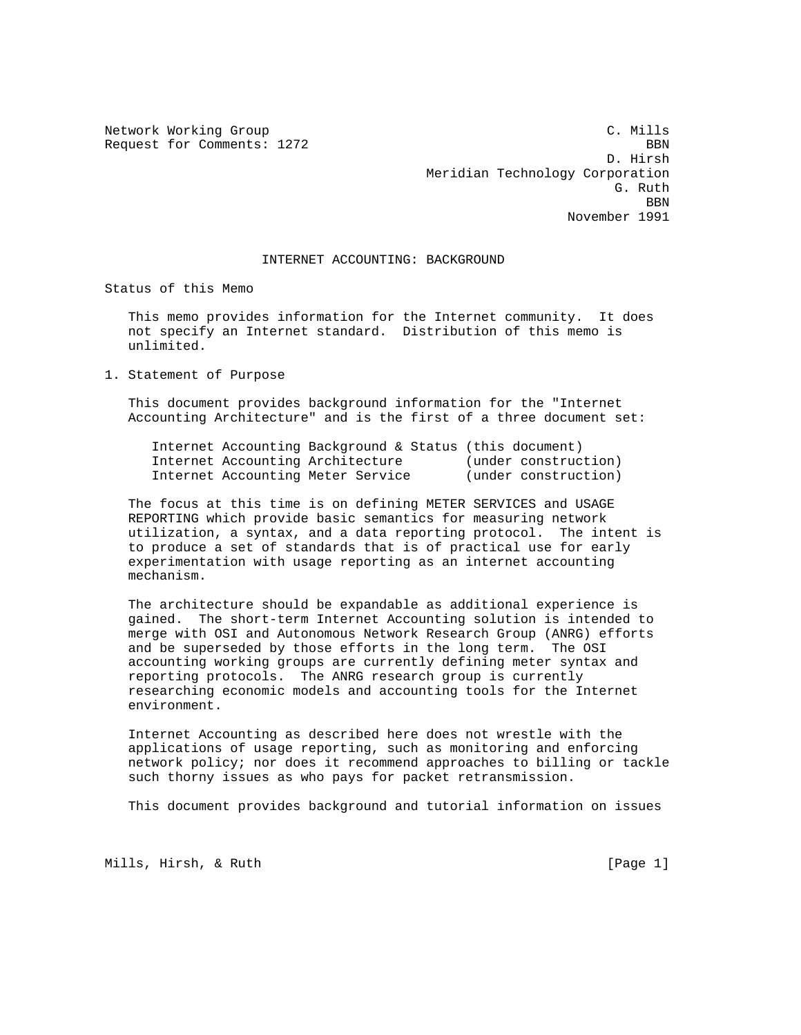Network Working Group C. Mills Request for Comments: 1272 BBN D. Hirsh Meridian Technology Corporation G. Ruth Contract of the Contract of the Contract of the Contract of the Contract of the Contract of the Contract of the Contract of the Contract of the Contract of the Contract of the Contract of the Contract of the Contra **BBN** November 1991

## INTERNET ACCOUNTING: BACKGROUND

Status of this Memo

 This memo provides information for the Internet community. It does not specify an Internet standard. Distribution of this memo is unlimited.

1. Statement of Purpose

 This document provides background information for the "Internet Accounting Architecture" and is the first of a three document set:

 Internet Accounting Background & Status (this document) Internet Accounting Architecture (under construction) Internet Accounting Meter Service (under construction)

 The focus at this time is on defining METER SERVICES and USAGE REPORTING which provide basic semantics for measuring network utilization, a syntax, and a data reporting protocol. The intent is to produce a set of standards that is of practical use for early experimentation with usage reporting as an internet accounting mechanism.

 The architecture should be expandable as additional experience is gained. The short-term Internet Accounting solution is intended to merge with OSI and Autonomous Network Research Group (ANRG) efforts and be superseded by those efforts in the long term. The OSI accounting working groups are currently defining meter syntax and reporting protocols. The ANRG research group is currently researching economic models and accounting tools for the Internet environment.

 Internet Accounting as described here does not wrestle with the applications of usage reporting, such as monitoring and enforcing network policy; nor does it recommend approaches to billing or tackle such thorny issues as who pays for packet retransmission.

This document provides background and tutorial information on issues

Mills, Hirsh, & Ruth [Page 1]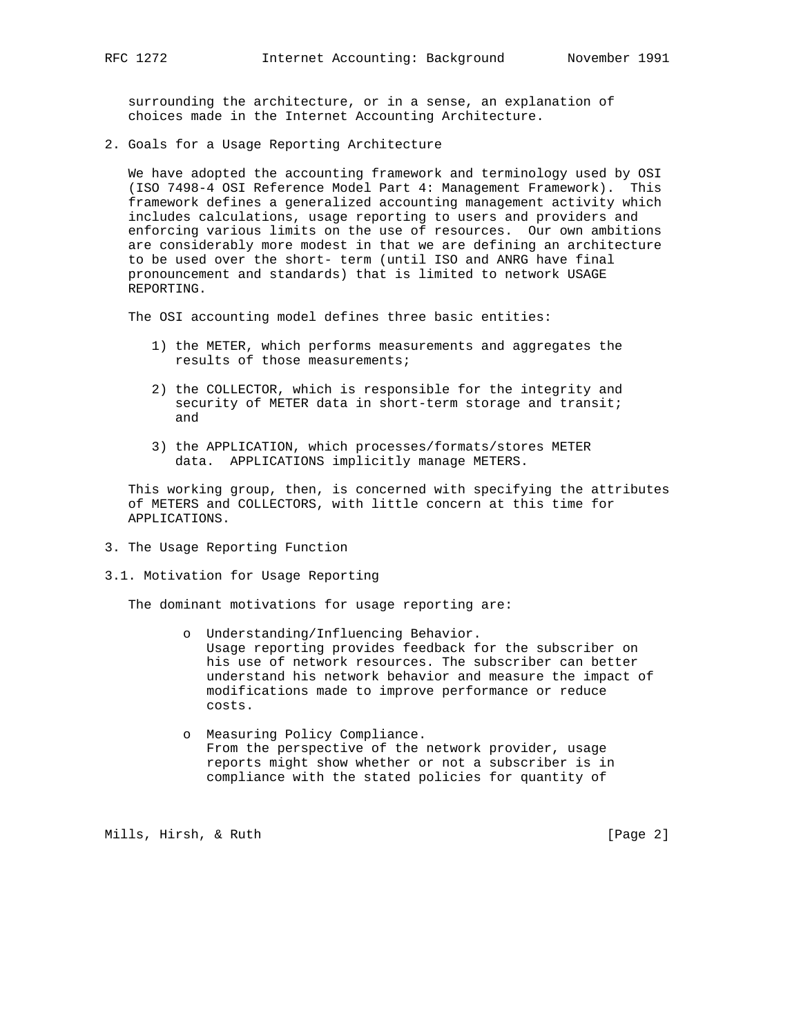surrounding the architecture, or in a sense, an explanation of choices made in the Internet Accounting Architecture.

2. Goals for a Usage Reporting Architecture

 We have adopted the accounting framework and terminology used by OSI (ISO 7498-4 OSI Reference Model Part 4: Management Framework). This framework defines a generalized accounting management activity which includes calculations, usage reporting to users and providers and enforcing various limits on the use of resources. Our own ambitions are considerably more modest in that we are defining an architecture to be used over the short- term (until ISO and ANRG have final pronouncement and standards) that is limited to network USAGE REPORTING.

The OSI accounting model defines three basic entities:

- 1) the METER, which performs measurements and aggregates the results of those measurements;
- 2) the COLLECTOR, which is responsible for the integrity and security of METER data in short-term storage and transit; and
- 3) the APPLICATION, which processes/formats/stores METER data. APPLICATIONS implicitly manage METERS.

 This working group, then, is concerned with specifying the attributes of METERS and COLLECTORS, with little concern at this time for APPLICATIONS.

- 3. The Usage Reporting Function
- 3.1. Motivation for Usage Reporting

The dominant motivations for usage reporting are:

- o Understanding/Influencing Behavior. Usage reporting provides feedback for the subscriber on his use of network resources. The subscriber can better understand his network behavior and measure the impact of modifications made to improve performance or reduce costs.
- o Measuring Policy Compliance. From the perspective of the network provider, usage reports might show whether or not a subscriber is in compliance with the stated policies for quantity of

Mills, Hirsh, & Ruth [Page 2]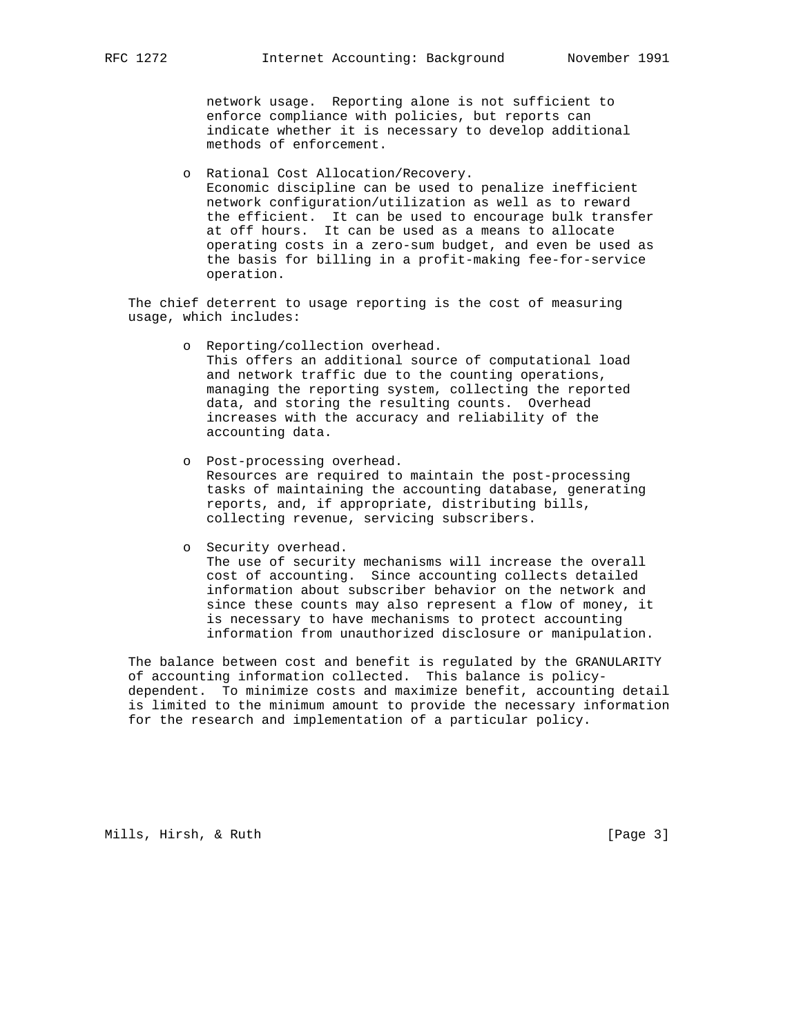network usage. Reporting alone is not sufficient to enforce compliance with policies, but reports can indicate whether it is necessary to develop additional methods of enforcement.

 o Rational Cost Allocation/Recovery. Economic discipline can be used to penalize inefficient network configuration/utilization as well as to reward the efficient. It can be used to encourage bulk transfer at off hours. It can be used as a means to allocate operating costs in a zero-sum budget, and even be used as the basis for billing in a profit-making fee-for-service operation.

 The chief deterrent to usage reporting is the cost of measuring usage, which includes:

- o Reporting/collection overhead. This offers an additional source of computational load and network traffic due to the counting operations, managing the reporting system, collecting the reported data, and storing the resulting counts. Overhead increases with the accuracy and reliability of the accounting data.
- o Post-processing overhead. Resources are required to maintain the post-processing tasks of maintaining the accounting database, generating reports, and, if appropriate, distributing bills, collecting revenue, servicing subscribers.
- o Security overhead. The use of security mechanisms will increase the overall cost of accounting. Since accounting collects detailed information about subscriber behavior on the network and since these counts may also represent a flow of money, it is necessary to have mechanisms to protect accounting information from unauthorized disclosure or manipulation.

 The balance between cost and benefit is regulated by the GRANULARITY of accounting information collected. This balance is policy dependent. To minimize costs and maximize benefit, accounting detail is limited to the minimum amount to provide the necessary information for the research and implementation of a particular policy.

Mills, Hirsh, & Ruth [Page 3]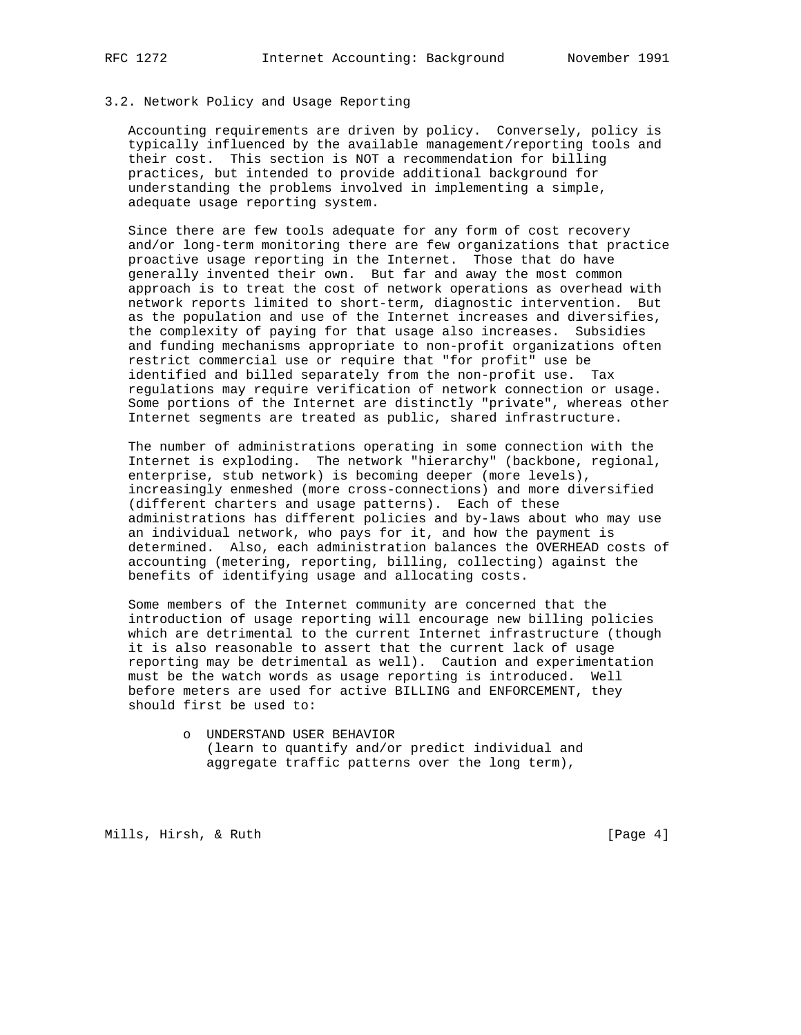### 3.2. Network Policy and Usage Reporting

 Accounting requirements are driven by policy. Conversely, policy is typically influenced by the available management/reporting tools and their cost. This section is NOT a recommendation for billing practices, but intended to provide additional background for understanding the problems involved in implementing a simple, adequate usage reporting system.

 Since there are few tools adequate for any form of cost recovery and/or long-term monitoring there are few organizations that practice proactive usage reporting in the Internet. Those that do have generally invented their own. But far and away the most common approach is to treat the cost of network operations as overhead with network reports limited to short-term, diagnostic intervention. But as the population and use of the Internet increases and diversifies, the complexity of paying for that usage also increases. Subsidies and funding mechanisms appropriate to non-profit organizations often restrict commercial use or require that "for profit" use be identified and billed separately from the non-profit use. Tax regulations may require verification of network connection or usage. Some portions of the Internet are distinctly "private", whereas other Internet segments are treated as public, shared infrastructure.

 The number of administrations operating in some connection with the Internet is exploding. The network "hierarchy" (backbone, regional, enterprise, stub network) is becoming deeper (more levels), increasingly enmeshed (more cross-connections) and more diversified (different charters and usage patterns). Each of these administrations has different policies and by-laws about who may use an individual network, who pays for it, and how the payment is determined. Also, each administration balances the OVERHEAD costs of accounting (metering, reporting, billing, collecting) against the benefits of identifying usage and allocating costs.

 Some members of the Internet community are concerned that the introduction of usage reporting will encourage new billing policies which are detrimental to the current Internet infrastructure (though it is also reasonable to assert that the current lack of usage reporting may be detrimental as well). Caution and experimentation must be the watch words as usage reporting is introduced. Well before meters are used for active BILLING and ENFORCEMENT, they should first be used to:

> o UNDERSTAND USER BEHAVIOR (learn to quantify and/or predict individual and aggregate traffic patterns over the long term),

Mills, Hirsh, & Ruth [Page 4]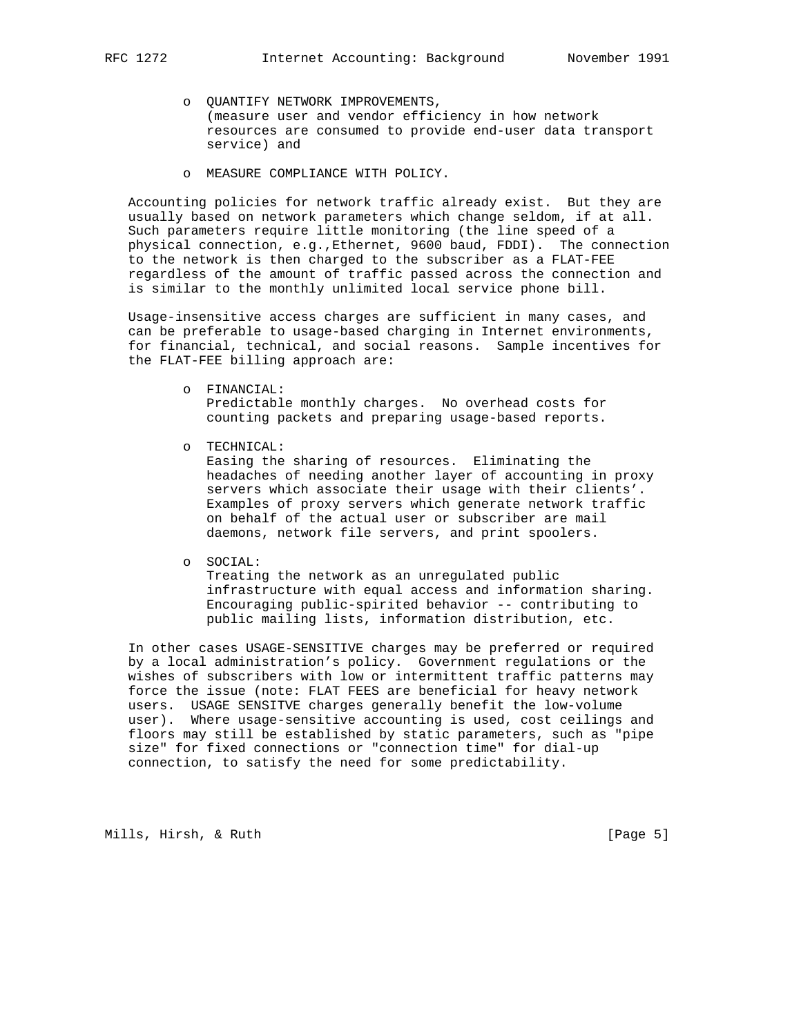- o QUANTIFY NETWORK IMPROVEMENTS, (measure user and vendor efficiency in how network resources are consumed to provide end-user data transport service) and
- o MEASURE COMPLIANCE WITH POLICY.

 Accounting policies for network traffic already exist. But they are usually based on network parameters which change seldom, if at all. Such parameters require little monitoring (the line speed of a physical connection, e.g.,Ethernet, 9600 baud, FDDI). The connection to the network is then charged to the subscriber as a FLAT-FEE regardless of the amount of traffic passed across the connection and is similar to the monthly unlimited local service phone bill.

 Usage-insensitive access charges are sufficient in many cases, and can be preferable to usage-based charging in Internet environments, for financial, technical, and social reasons. Sample incentives for the FLAT-FEE billing approach are:

> o FINANCIAL: Predictable monthly charges. No overhead costs for counting packets and preparing usage-based reports.

o TECHNICAL:

 Easing the sharing of resources. Eliminating the headaches of needing another layer of accounting in proxy servers which associate their usage with their clients'. Examples of proxy servers which generate network traffic on behalf of the actual user or subscriber are mail daemons, network file servers, and print spoolers.

o SOCIAL:

 Treating the network as an unregulated public infrastructure with equal access and information sharing. Encouraging public-spirited behavior -- contributing to public mailing lists, information distribution, etc.

 In other cases USAGE-SENSITIVE charges may be preferred or required by a local administration's policy. Government regulations or the wishes of subscribers with low or intermittent traffic patterns may force the issue (note: FLAT FEES are beneficial for heavy network users. USAGE SENSITVE charges generally benefit the low-volume user). Where usage-sensitive accounting is used, cost ceilings and floors may still be established by static parameters, such as "pipe size" for fixed connections or "connection time" for dial-up connection, to satisfy the need for some predictability.

Mills, Hirsh, & Ruth [Page 5]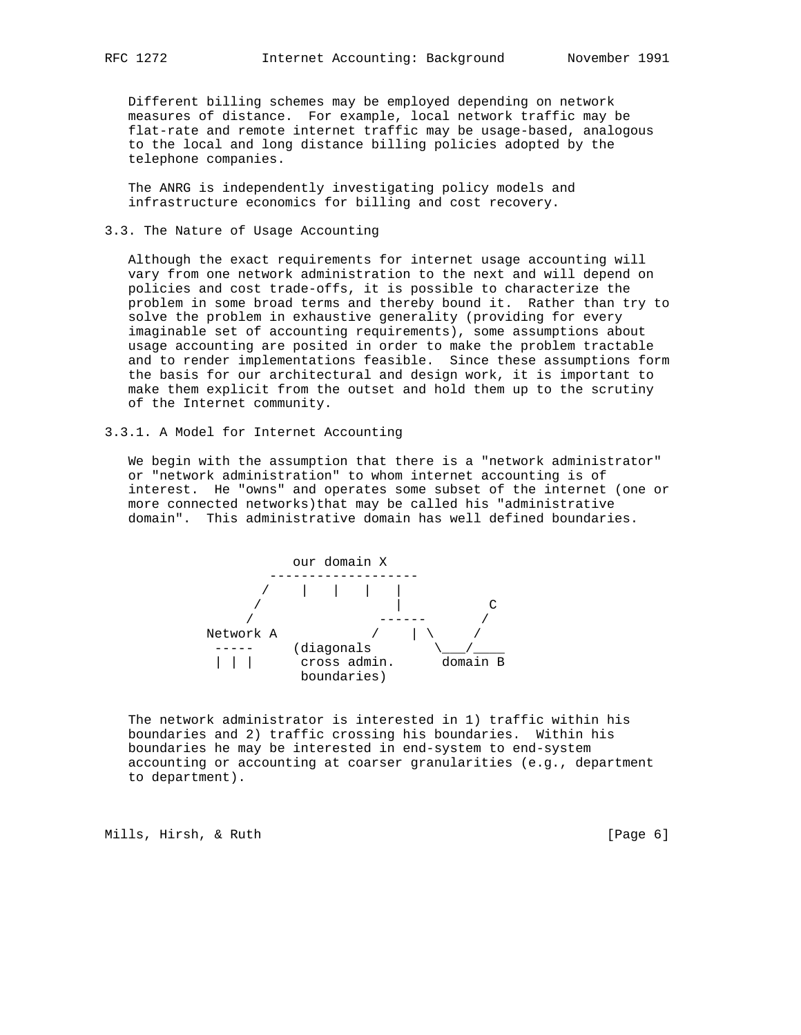Different billing schemes may be employed depending on network measures of distance. For example, local network traffic may be flat-rate and remote internet traffic may be usage-based, analogous to the local and long distance billing policies adopted by the telephone companies.

 The ANRG is independently investigating policy models and infrastructure economics for billing and cost recovery.

# 3.3. The Nature of Usage Accounting

 Although the exact requirements for internet usage accounting will vary from one network administration to the next and will depend on policies and cost trade-offs, it is possible to characterize the problem in some broad terms and thereby bound it. Rather than try to solve the problem in exhaustive generality (providing for every imaginable set of accounting requirements), some assumptions about usage accounting are posited in order to make the problem tractable and to render implementations feasible. Since these assumptions form the basis for our architectural and design work, it is important to make them explicit from the outset and hold them up to the scrutiny of the Internet community.

3.3.1. A Model for Internet Accounting

 We begin with the assumption that there is a "network administrator" or "network administration" to whom internet accounting is of interest. He "owns" and operates some subset of the internet (one or more connected networks)that may be called his "administrative domain". This administrative domain has well defined boundaries.



 The network administrator is interested in 1) traffic within his boundaries and 2) traffic crossing his boundaries. Within his boundaries he may be interested in end-system to end-system accounting or accounting at coarser granularities (e.g., department to department).

Mills, Hirsh, & Ruth [Page 6]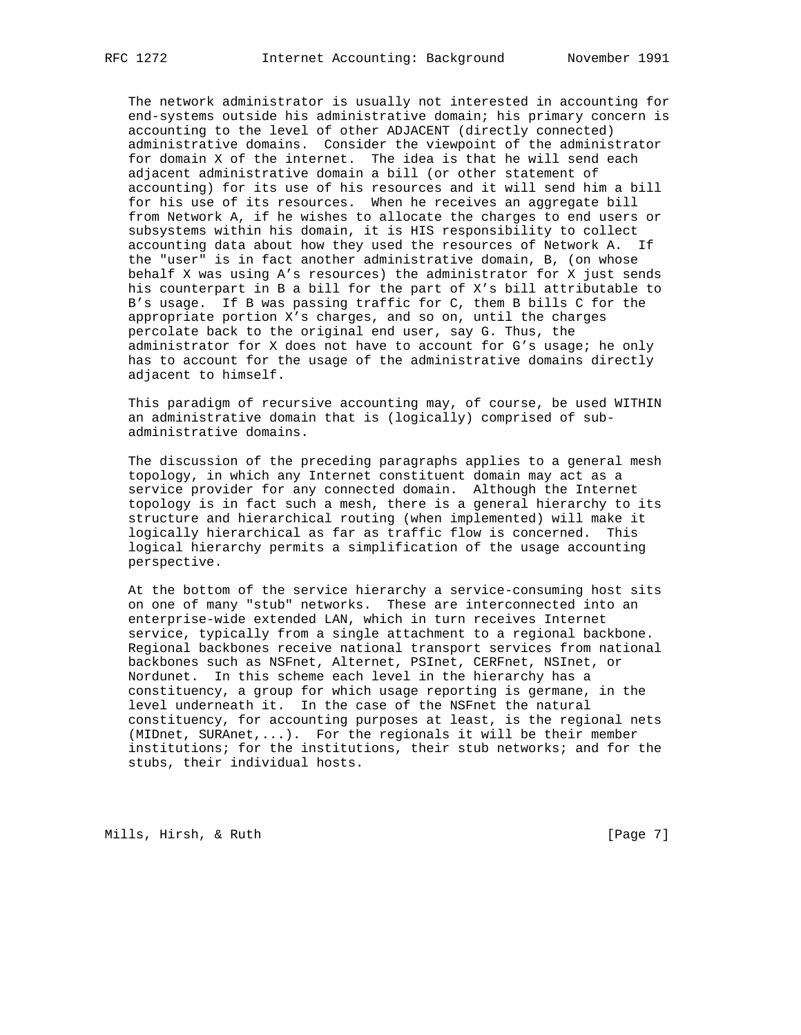The network administrator is usually not interested in accounting for end-systems outside his administrative domain; his primary concern is accounting to the level of other ADJACENT (directly connected) administrative domains. Consider the viewpoint of the administrator for domain X of the internet. The idea is that he will send each adjacent administrative domain a bill (or other statement of accounting) for its use of his resources and it will send him a bill for his use of its resources. When he receives an aggregate bill from Network A, if he wishes to allocate the charges to end users or subsystems within his domain, it is HIS responsibility to collect accounting data about how they used the resources of Network A. If the "user" is in fact another administrative domain, B, (on whose behalf X was using A's resources) the administrator for X just sends his counterpart in B a bill for the part of X's bill attributable to B's usage. If B was passing traffic for C, them B bills C for the appropriate portion X's charges, and so on, until the charges percolate back to the original end user, say G. Thus, the administrator for X does not have to account for G's usage; he only has to account for the usage of the administrative domains directly adjacent to himself.

 This paradigm of recursive accounting may, of course, be used WITHIN an administrative domain that is (logically) comprised of sub administrative domains.

 The discussion of the preceding paragraphs applies to a general mesh topology, in which any Internet constituent domain may act as a service provider for any connected domain. Although the Internet topology is in fact such a mesh, there is a general hierarchy to its structure and hierarchical routing (when implemented) will make it logically hierarchical as far as traffic flow is concerned. This logical hierarchy permits a simplification of the usage accounting perspective.

 At the bottom of the service hierarchy a service-consuming host sits on one of many "stub" networks. These are interconnected into an enterprise-wide extended LAN, which in turn receives Internet service, typically from a single attachment to a regional backbone. Regional backbones receive national transport services from national backbones such as NSFnet, Alternet, PSInet, CERFnet, NSInet, or Nordunet. In this scheme each level in the hierarchy has a constituency, a group for which usage reporting is germane, in the level underneath it. In the case of the NSFnet the natural constituency, for accounting purposes at least, is the regional nets (MIDnet, SURAnet,...). For the regionals it will be their member institutions; for the institutions, their stub networks; and for the stubs, their individual hosts.

Mills, Hirsh, & Ruth [Page 7]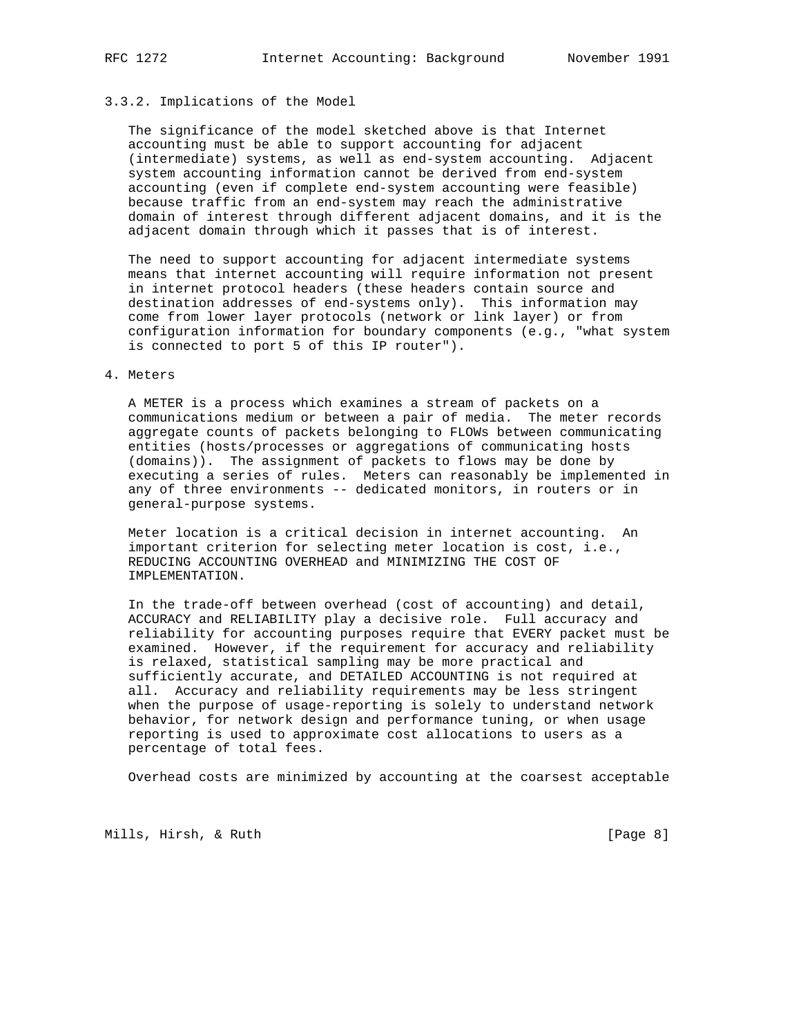# 3.3.2. Implications of the Model

 The significance of the model sketched above is that Internet accounting must be able to support accounting for adjacent (intermediate) systems, as well as end-system accounting. Adjacent system accounting information cannot be derived from end-system accounting (even if complete end-system accounting were feasible) because traffic from an end-system may reach the administrative domain of interest through different adjacent domains, and it is the adjacent domain through which it passes that is of interest.

 The need to support accounting for adjacent intermediate systems means that internet accounting will require information not present in internet protocol headers (these headers contain source and destination addresses of end-systems only). This information may come from lower layer protocols (network or link layer) or from configuration information for boundary components (e.g., "what system is connected to port 5 of this IP router").

#### 4. Meters

 A METER is a process which examines a stream of packets on a communications medium or between a pair of media. The meter records aggregate counts of packets belonging to FLOWs between communicating entities (hosts/processes or aggregations of communicating hosts (domains)). The assignment of packets to flows may be done by executing a series of rules. Meters can reasonably be implemented in any of three environments -- dedicated monitors, in routers or in general-purpose systems.

 Meter location is a critical decision in internet accounting. An important criterion for selecting meter location is cost, i.e., REDUCING ACCOUNTING OVERHEAD and MINIMIZING THE COST OF IMPLEMENTATION.

 In the trade-off between overhead (cost of accounting) and detail, ACCURACY and RELIABILITY play a decisive role. Full accuracy and reliability for accounting purposes require that EVERY packet must be examined. However, if the requirement for accuracy and reliability is relaxed, statistical sampling may be more practical and sufficiently accurate, and DETAILED ACCOUNTING is not required at all. Accuracy and reliability requirements may be less stringent when the purpose of usage-reporting is solely to understand network behavior, for network design and performance tuning, or when usage reporting is used to approximate cost allocations to users as a percentage of total fees.

Overhead costs are minimized by accounting at the coarsest acceptable

Mills, Hirsh, & Ruth [Page 8]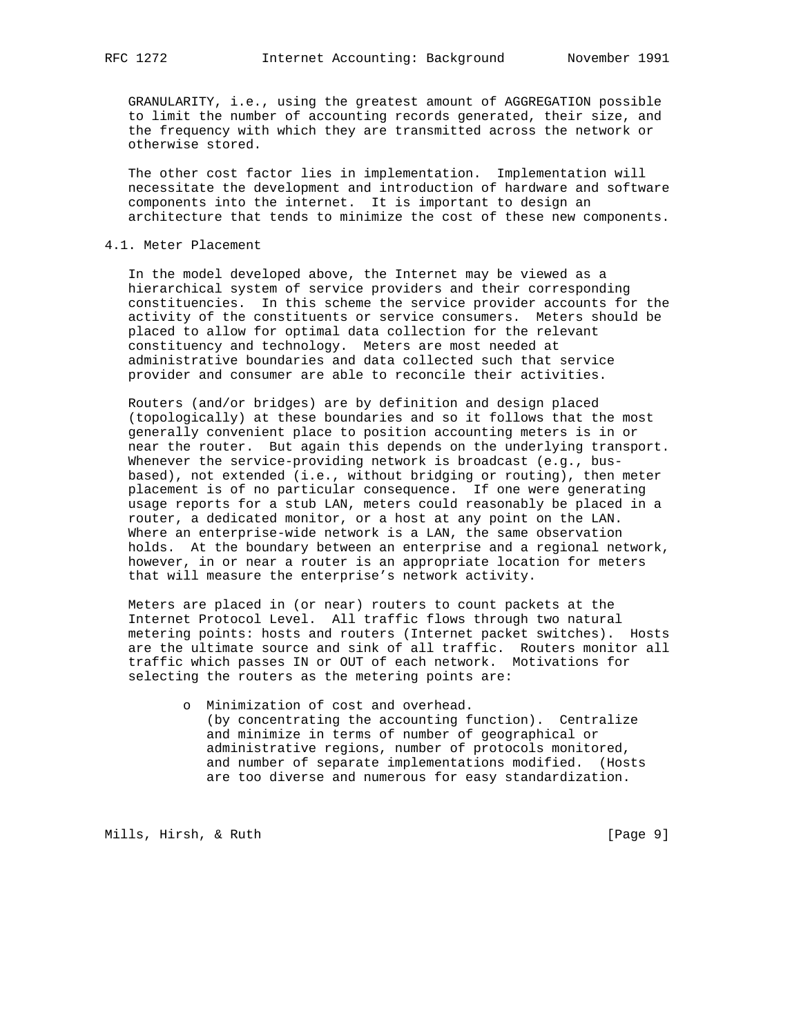GRANULARITY, i.e., using the greatest amount of AGGREGATION possible to limit the number of accounting records generated, their size, and the frequency with which they are transmitted across the network or otherwise stored.

 The other cost factor lies in implementation. Implementation will necessitate the development and introduction of hardware and software components into the internet. It is important to design an architecture that tends to minimize the cost of these new components.

## 4.1. Meter Placement

 In the model developed above, the Internet may be viewed as a hierarchical system of service providers and their corresponding constituencies. In this scheme the service provider accounts for the activity of the constituents or service consumers. Meters should be placed to allow for optimal data collection for the relevant constituency and technology. Meters are most needed at administrative boundaries and data collected such that service provider and consumer are able to reconcile their activities.

 Routers (and/or bridges) are by definition and design placed (topologically) at these boundaries and so it follows that the most generally convenient place to position accounting meters is in or near the router. But again this depends on the underlying transport. Whenever the service-providing network is broadcast (e.g., bus based), not extended (i.e., without bridging or routing), then meter placement is of no particular consequence. If one were generating usage reports for a stub LAN, meters could reasonably be placed in a router, a dedicated monitor, or a host at any point on the LAN. Where an enterprise-wide network is a LAN, the same observation holds. At the boundary between an enterprise and a regional network, however, in or near a router is an appropriate location for meters that will measure the enterprise's network activity.

 Meters are placed in (or near) routers to count packets at the Internet Protocol Level. All traffic flows through two natural metering points: hosts and routers (Internet packet switches). Hosts are the ultimate source and sink of all traffic. Routers monitor all traffic which passes IN or OUT of each network. Motivations for selecting the routers as the metering points are:

> o Minimization of cost and overhead. (by concentrating the accounting function). Centralize and minimize in terms of number of geographical or administrative regions, number of protocols monitored, and number of separate implementations modified. (Hosts are too diverse and numerous for easy standardization.

Mills, Hirsh, & Ruth [Page 9]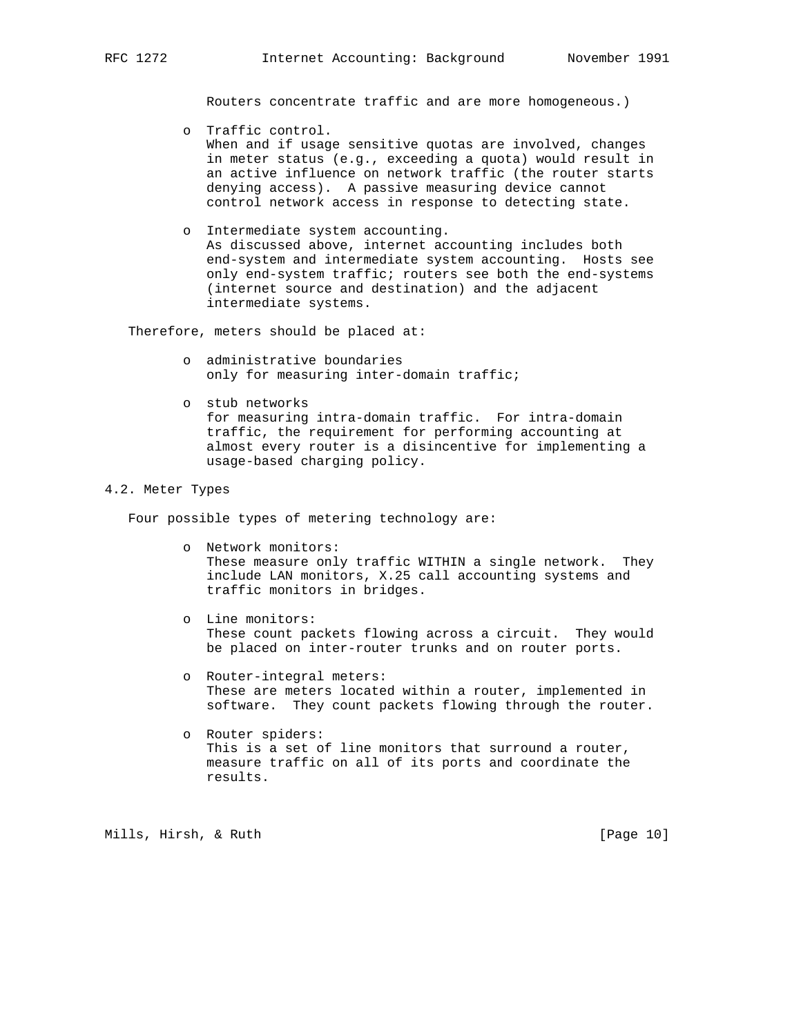Routers concentrate traffic and are more homogeneous.)

- o Traffic control. When and if usage sensitive quotas are involved, changes in meter status (e.g., exceeding a quota) would result in an active influence on network traffic (the router starts denying access). A passive measuring device cannot control network access in response to detecting state.
- o Intermediate system accounting. As discussed above, internet accounting includes both end-system and intermediate system accounting. Hosts see only end-system traffic; routers see both the end-systems (internet source and destination) and the adjacent intermediate systems.

Therefore, meters should be placed at:

- o administrative boundaries only for measuring inter-domain traffic;
- o stub networks for measuring intra-domain traffic. For intra-domain traffic, the requirement for performing accounting at almost every router is a disincentive for implementing a usage-based charging policy.

#### 4.2. Meter Types

Four possible types of metering technology are:

- o Network monitors: These measure only traffic WITHIN a single network. They include LAN monitors, X.25 call accounting systems and traffic monitors in bridges.
- o Line monitors: These count packets flowing across a circuit. They would be placed on inter-router trunks and on router ports.
- o Router-integral meters: These are meters located within a router, implemented in software. They count packets flowing through the router.
- o Router spiders: This is a set of line monitors that surround a router, measure traffic on all of its ports and coordinate the results.

Mills, Hirsh, & Ruth [Page 10]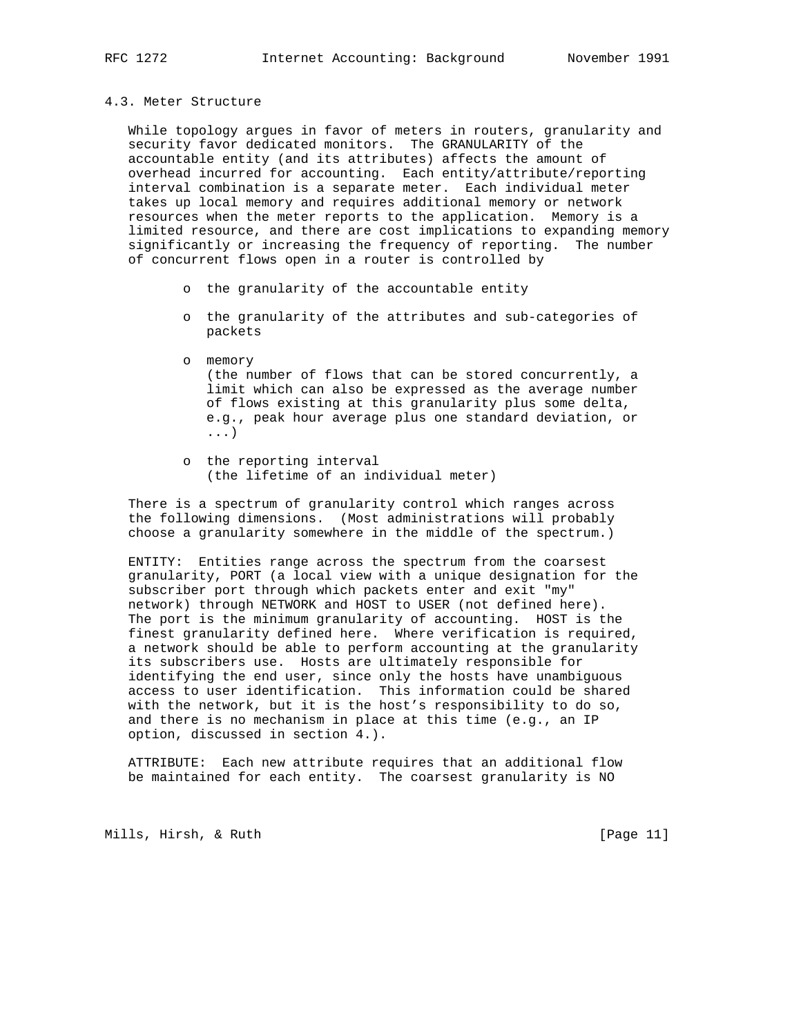#### 4.3. Meter Structure

 While topology argues in favor of meters in routers, granularity and security favor dedicated monitors. The GRANULARITY of the accountable entity (and its attributes) affects the amount of overhead incurred for accounting. Each entity/attribute/reporting interval combination is a separate meter. Each individual meter takes up local memory and requires additional memory or network resources when the meter reports to the application. Memory is a limited resource, and there are cost implications to expanding memory significantly or increasing the frequency of reporting. The number of concurrent flows open in a router is controlled by

- o the granularity of the accountable entity
- o the granularity of the attributes and sub-categories of packets
- o memory (the number of flows that can be stored concurrently, a limit which can also be expressed as the average number of flows existing at this granularity plus some delta, e.g., peak hour average plus one standard deviation, or ...)
- o the reporting interval (the lifetime of an individual meter)

 There is a spectrum of granularity control which ranges across the following dimensions. (Most administrations will probably choose a granularity somewhere in the middle of the spectrum.)

 ENTITY: Entities range across the spectrum from the coarsest granularity, PORT (a local view with a unique designation for the subscriber port through which packets enter and exit "my" network) through NETWORK and HOST to USER (not defined here). The port is the minimum granularity of accounting. HOST is the finest granularity defined here. Where verification is required, a network should be able to perform accounting at the granularity its subscribers use. Hosts are ultimately responsible for identifying the end user, since only the hosts have unambiguous access to user identification. This information could be shared with the network, but it is the host's responsibility to do so, and there is no mechanism in place at this time (e.g., an IP option, discussed in section 4.).

 ATTRIBUTE: Each new attribute requires that an additional flow be maintained for each entity. The coarsest granularity is NO

Mills, Hirsh, & Ruth [Page 11]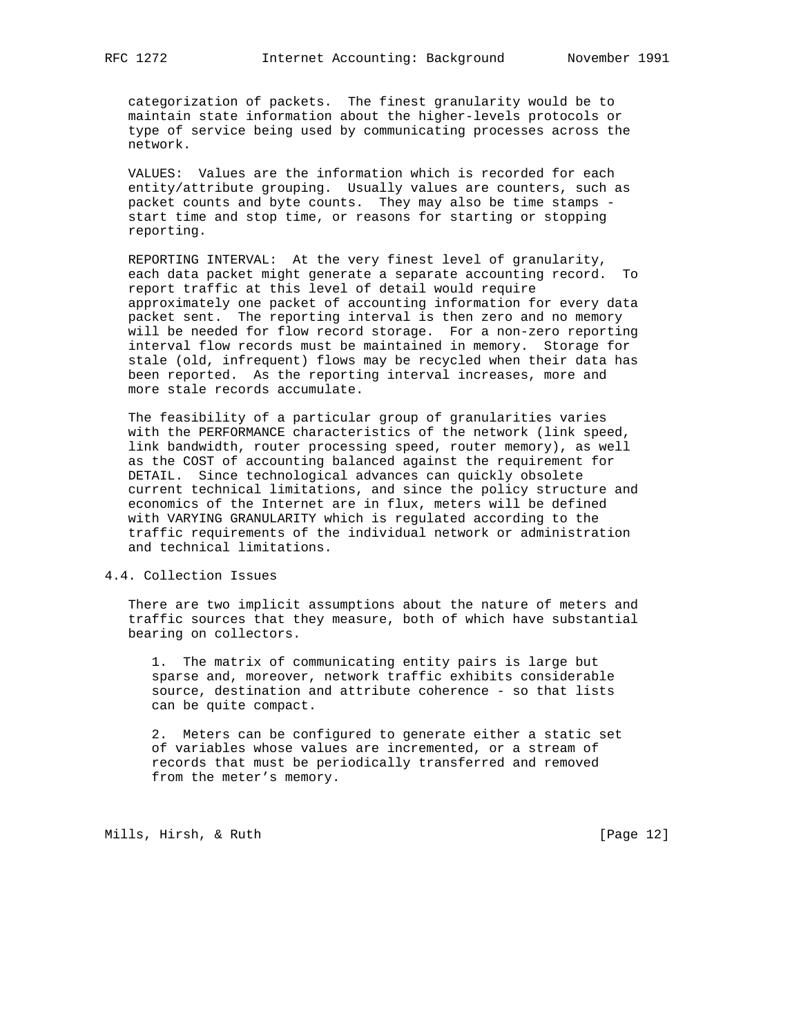categorization of packets. The finest granularity would be to maintain state information about the higher-levels protocols or type of service being used by communicating processes across the network.

 VALUES: Values are the information which is recorded for each entity/attribute grouping. Usually values are counters, such as packet counts and byte counts. They may also be time stamps start time and stop time, or reasons for starting or stopping reporting.

 REPORTING INTERVAL: At the very finest level of granularity, each data packet might generate a separate accounting record. To report traffic at this level of detail would require approximately one packet of accounting information for every data packet sent. The reporting interval is then zero and no memory will be needed for flow record storage. For a non-zero reporting interval flow records must be maintained in memory. Storage for stale (old, infrequent) flows may be recycled when their data has been reported. As the reporting interval increases, more and more stale records accumulate.

 The feasibility of a particular group of granularities varies with the PERFORMANCE characteristics of the network (link speed, link bandwidth, router processing speed, router memory), as well as the COST of accounting balanced against the requirement for DETAIL. Since technological advances can quickly obsolete current technical limitations, and since the policy structure and economics of the Internet are in flux, meters will be defined with VARYING GRANULARITY which is regulated according to the traffic requirements of the individual network or administration and technical limitations.

# 4.4. Collection Issues

 There are two implicit assumptions about the nature of meters and traffic sources that they measure, both of which have substantial bearing on collectors.

 1. The matrix of communicating entity pairs is large but sparse and, moreover, network traffic exhibits considerable source, destination and attribute coherence - so that lists can be quite compact.

 2. Meters can be configured to generate either a static set of variables whose values are incremented, or a stream of records that must be periodically transferred and removed from the meter's memory.

Mills, Hirsh, & Ruth [Page 12]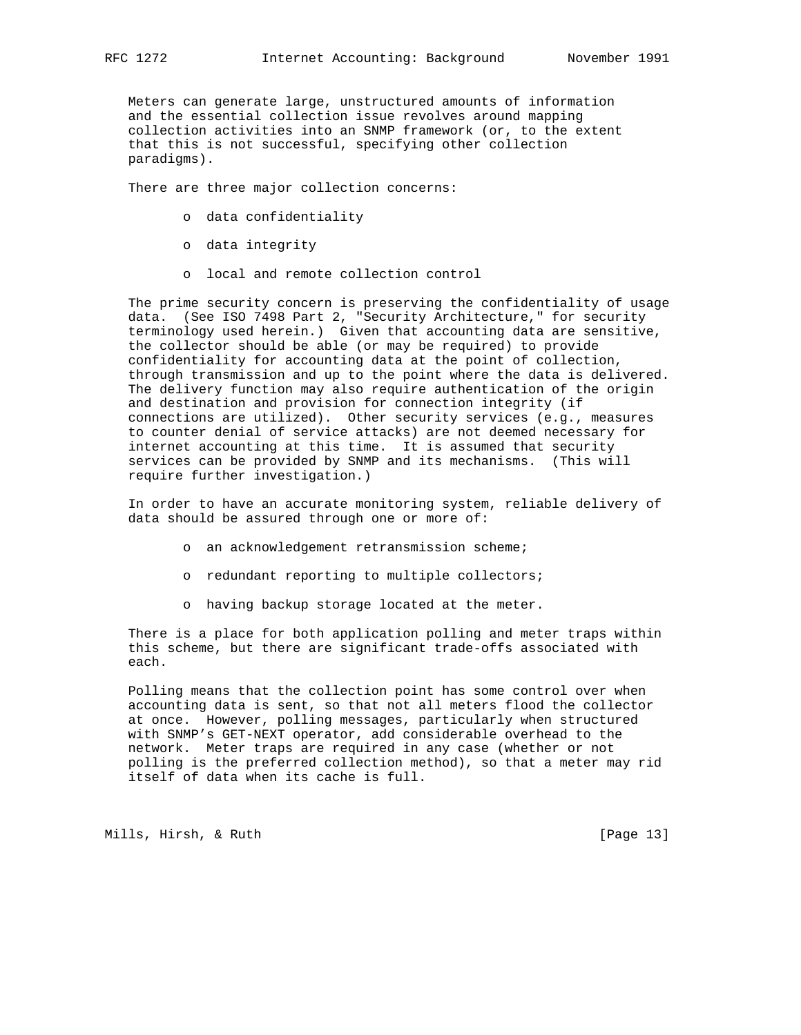Meters can generate large, unstructured amounts of information and the essential collection issue revolves around mapping collection activities into an SNMP framework (or, to the extent that this is not successful, specifying other collection paradigms).

There are three major collection concerns:

- o data confidentiality
- o data integrity
- o local and remote collection control

 The prime security concern is preserving the confidentiality of usage data. (See ISO 7498 Part 2, "Security Architecture," for security terminology used herein.) Given that accounting data are sensitive, the collector should be able (or may be required) to provide confidentiality for accounting data at the point of collection, through transmission and up to the point where the data is delivered. The delivery function may also require authentication of the origin and destination and provision for connection integrity (if connections are utilized). Other security services (e.g., measures to counter denial of service attacks) are not deemed necessary for internet accounting at this time. It is assumed that security services can be provided by SNMP and its mechanisms. (This will require further investigation.)

 In order to have an accurate monitoring system, reliable delivery of data should be assured through one or more of:

- o an acknowledgement retransmission scheme;
- o redundant reporting to multiple collectors;
- o having backup storage located at the meter.

 There is a place for both application polling and meter traps within this scheme, but there are significant trade-offs associated with each.

 Polling means that the collection point has some control over when accounting data is sent, so that not all meters flood the collector at once. However, polling messages, particularly when structured with SNMP's GET-NEXT operator, add considerable overhead to the network. Meter traps are required in any case (whether or not polling is the preferred collection method), so that a meter may rid itself of data when its cache is full.

Mills, Hirsh, & Ruth [Page 13]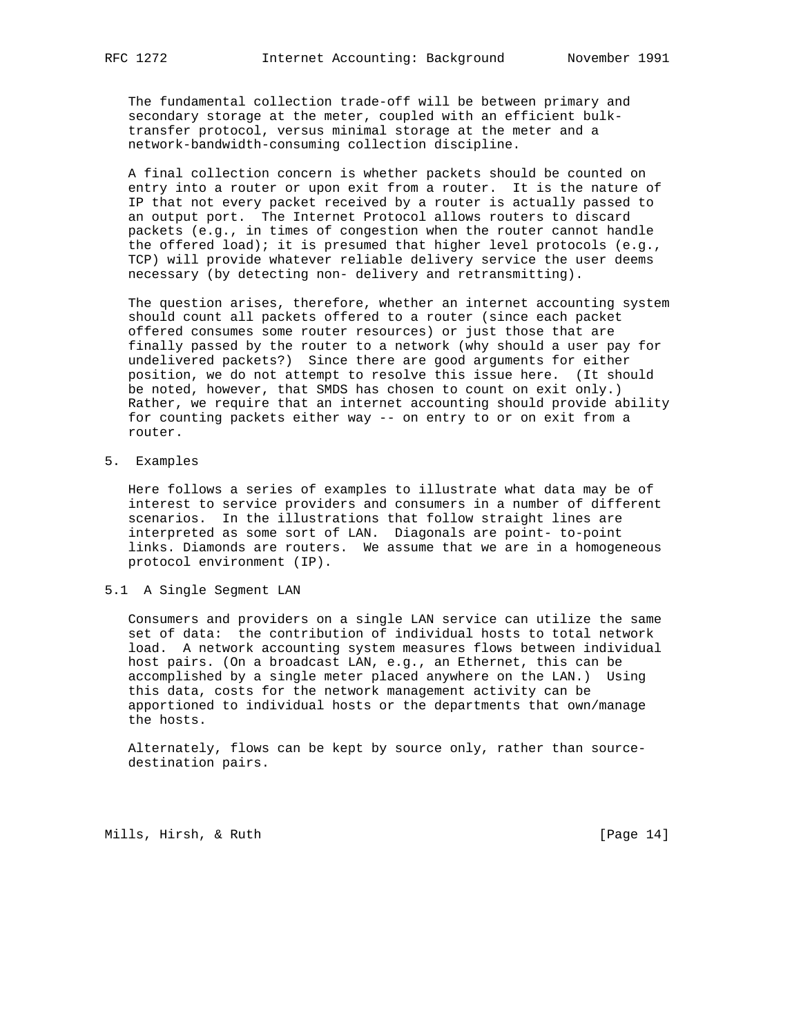The fundamental collection trade-off will be between primary and secondary storage at the meter, coupled with an efficient bulk transfer protocol, versus minimal storage at the meter and a network-bandwidth-consuming collection discipline.

 A final collection concern is whether packets should be counted on entry into a router or upon exit from a router. It is the nature of IP that not every packet received by a router is actually passed to an output port. The Internet Protocol allows routers to discard packets (e.g., in times of congestion when the router cannot handle the offered load); it is presumed that higher level protocols (e.g., TCP) will provide whatever reliable delivery service the user deems necessary (by detecting non- delivery and retransmitting).

 The question arises, therefore, whether an internet accounting system should count all packets offered to a router (since each packet offered consumes some router resources) or just those that are finally passed by the router to a network (why should a user pay for undelivered packets?) Since there are good arguments for either position, we do not attempt to resolve this issue here. (It should be noted, however, that SMDS has chosen to count on exit only.) Rather, we require that an internet accounting should provide ability for counting packets either way -- on entry to or on exit from a router.

5. Examples

 Here follows a series of examples to illustrate what data may be of interest to service providers and consumers in a number of different scenarios. In the illustrations that follow straight lines are interpreted as some sort of LAN. Diagonals are point- to-point links. Diamonds are routers. We assume that we are in a homogeneous protocol environment (IP).

### 5.1 A Single Segment LAN

 Consumers and providers on a single LAN service can utilize the same set of data: the contribution of individual hosts to total network load. A network accounting system measures flows between individual host pairs. (On a broadcast LAN, e.g., an Ethernet, this can be accomplished by a single meter placed anywhere on the LAN.) Using this data, costs for the network management activity can be apportioned to individual hosts or the departments that own/manage the hosts.

 Alternately, flows can be kept by source only, rather than source destination pairs.

Mills, Hirsh, & Ruth [Page 14]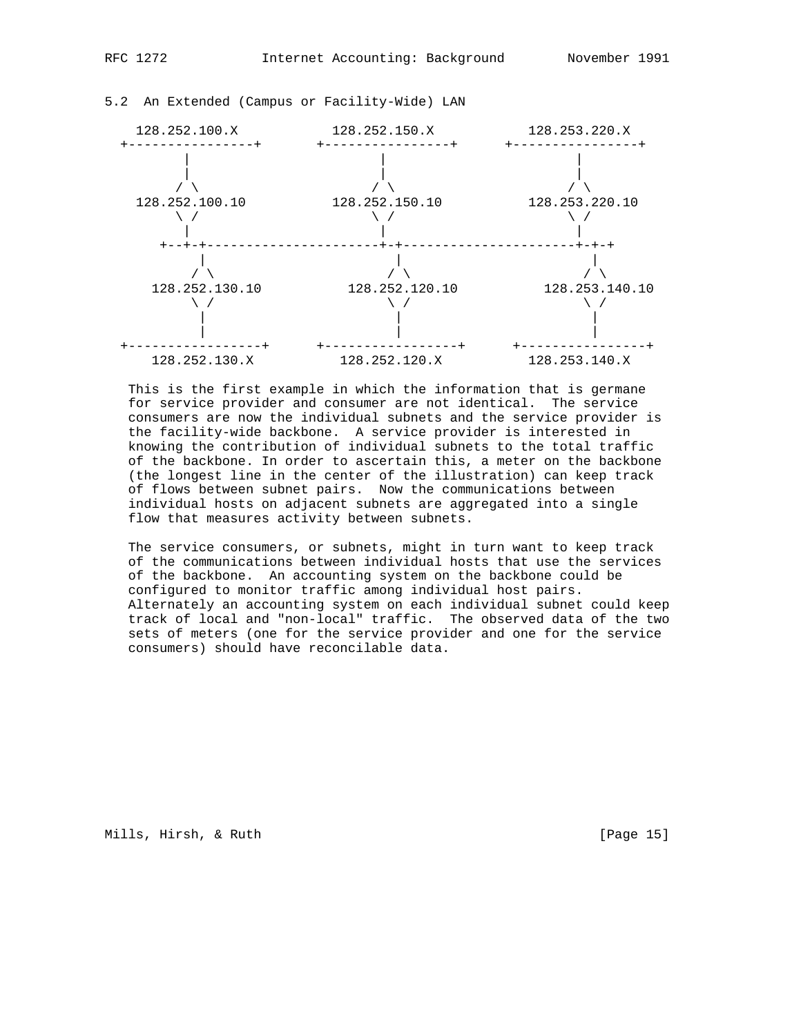

128.252.130.X 128.252.120.X 128.253.140.X

5.2 An Extended (Campus or Facility-Wide) LAN

 This is the first example in which the information that is germane for service provider and consumer are not identical. The service consumers are now the individual subnets and the service provider is the facility-wide backbone. A service provider is interested in knowing the contribution of individual subnets to the total traffic of the backbone. In order to ascertain this, a meter on the backbone (the longest line in the center of the illustration) can keep track of flows between subnet pairs. Now the communications between individual hosts on adjacent subnets are aggregated into a single flow that measures activity between subnets.

 The service consumers, or subnets, might in turn want to keep track of the communications between individual hosts that use the services of the backbone. An accounting system on the backbone could be configured to monitor traffic among individual host pairs. Alternately an accounting system on each individual subnet could keep track of local and "non-local" traffic. The observed data of the two sets of meters (one for the service provider and one for the service consumers) should have reconcilable data.

Mills, Hirsh, & Ruth [Page 15]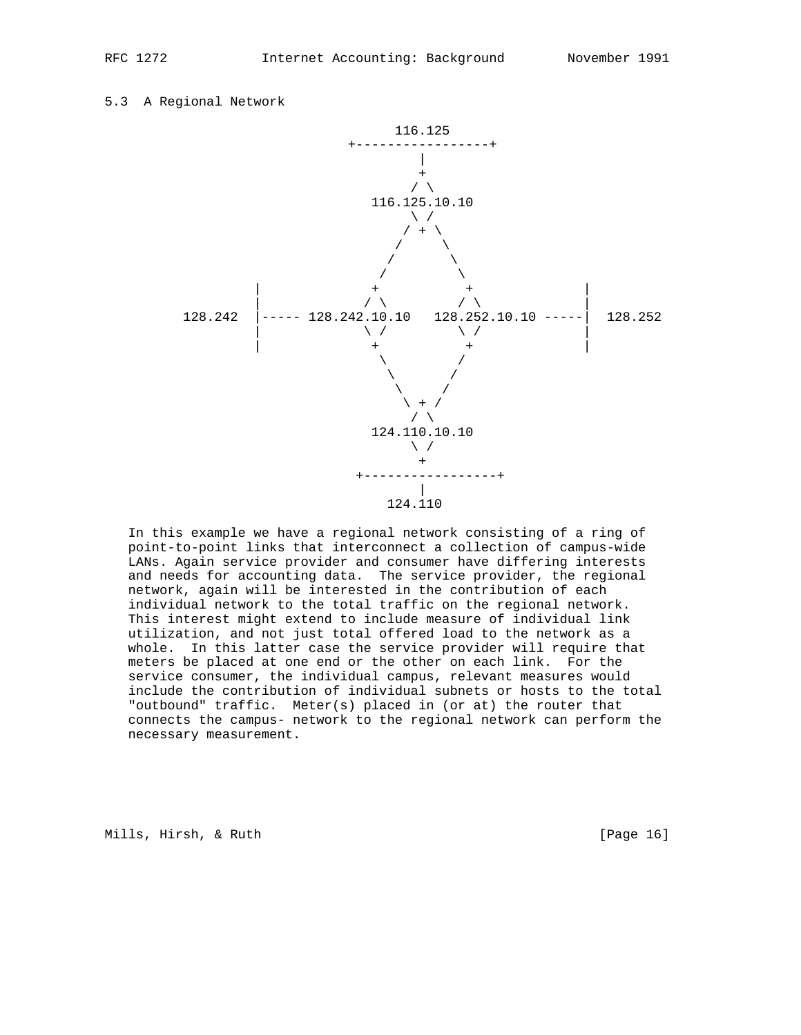5.3 A Regional Network



 In this example we have a regional network consisting of a ring of point-to-point links that interconnect a collection of campus-wide LANs. Again service provider and consumer have differing interests and needs for accounting data. The service provider, the regional network, again will be interested in the contribution of each individual network to the total traffic on the regional network. This interest might extend to include measure of individual link utilization, and not just total offered load to the network as a whole. In this latter case the service provider will require that meters be placed at one end or the other on each link. For the service consumer, the individual campus, relevant measures would include the contribution of individual subnets or hosts to the total "outbound" traffic. Meter(s) placed in (or at) the router that connects the campus- network to the regional network can perform the necessary measurement.

Mills, Hirsh, & Ruth [Page 16]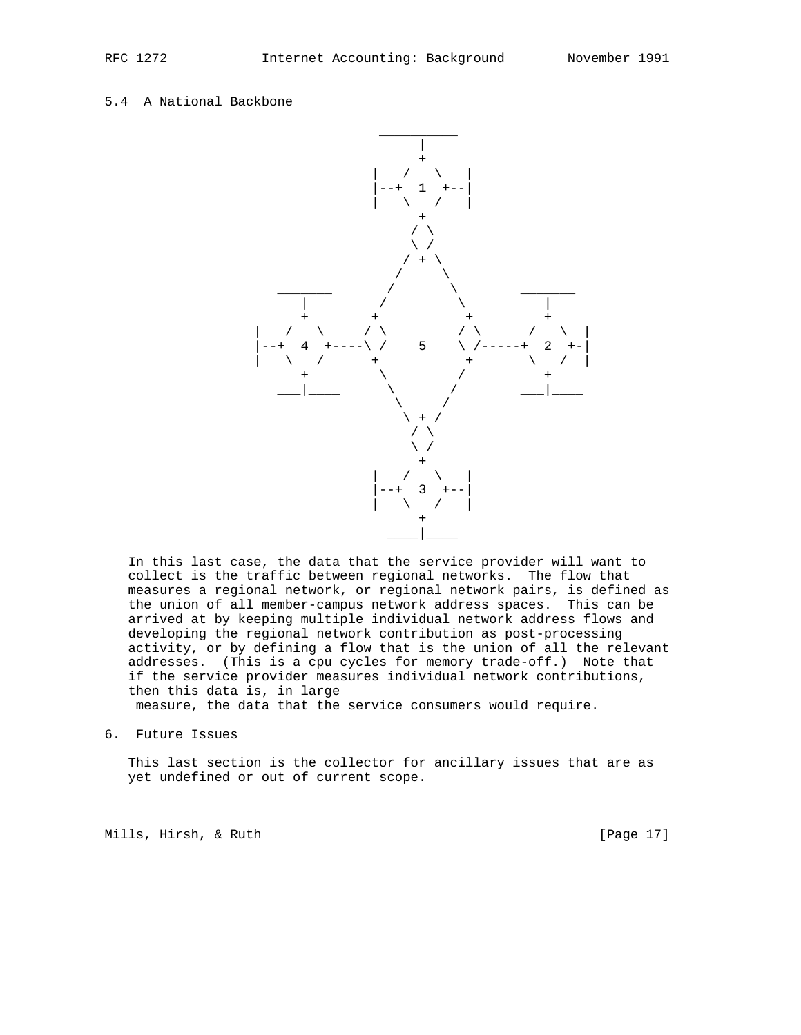# 5.4 A National Backbone



 In this last case, the data that the service provider will want to collect is the traffic between regional networks. The flow that measures a regional network, or regional network pairs, is defined as the union of all member-campus network address spaces. This can be arrived at by keeping multiple individual network address flows and developing the regional network contribution as post-processing activity, or by defining a flow that is the union of all the relevant addresses. (This is a cpu cycles for memory trade-off.) Note that if the service provider measures individual network contributions, then this data is, in large

measure, the data that the service consumers would require.

6. Future Issues

 This last section is the collector for ancillary issues that are as yet undefined or out of current scope.

Mills, Hirsh, & Ruth [Page 17]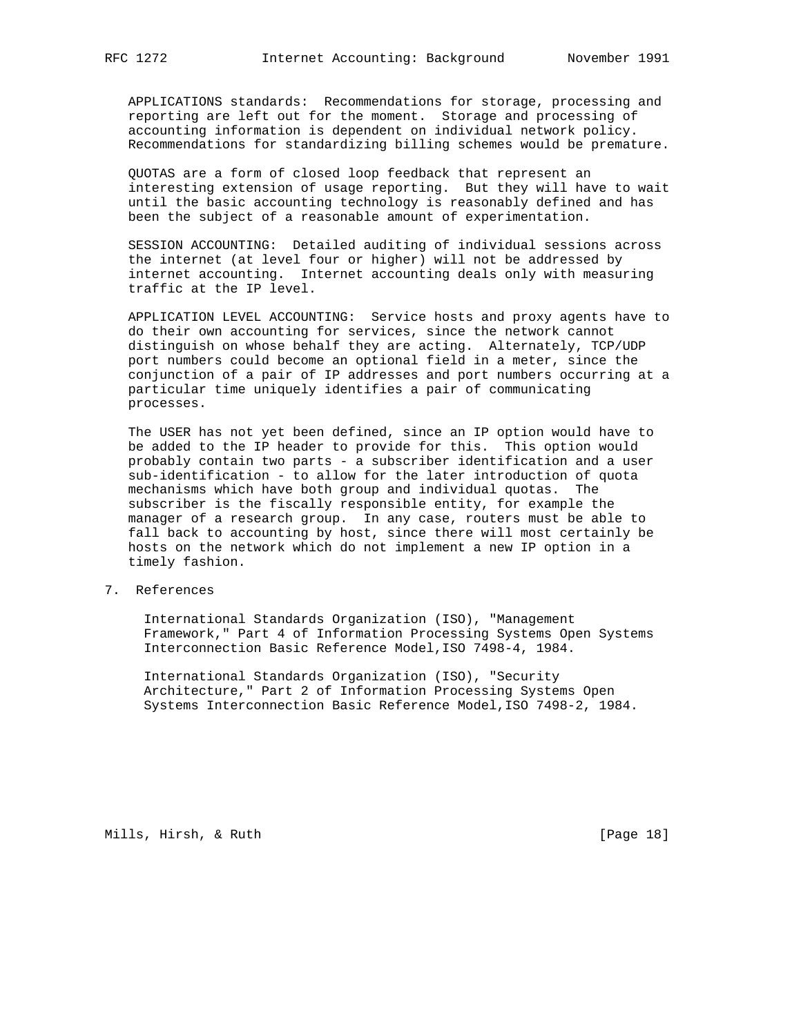APPLICATIONS standards: Recommendations for storage, processing and reporting are left out for the moment. Storage and processing of accounting information is dependent on individual network policy. Recommendations for standardizing billing schemes would be premature.

 QUOTAS are a form of closed loop feedback that represent an interesting extension of usage reporting. But they will have to wait until the basic accounting technology is reasonably defined and has been the subject of a reasonable amount of experimentation.

 SESSION ACCOUNTING: Detailed auditing of individual sessions across the internet (at level four or higher) will not be addressed by internet accounting. Internet accounting deals only with measuring traffic at the IP level.

 APPLICATION LEVEL ACCOUNTING: Service hosts and proxy agents have to do their own accounting for services, since the network cannot distinguish on whose behalf they are acting. Alternately, TCP/UDP port numbers could become an optional field in a meter, since the conjunction of a pair of IP addresses and port numbers occurring at a particular time uniquely identifies a pair of communicating processes.

 The USER has not yet been defined, since an IP option would have to be added to the IP header to provide for this. This option would probably contain two parts - a subscriber identification and a user sub-identification - to allow for the later introduction of quota mechanisms which have both group and individual quotas. The subscriber is the fiscally responsible entity, for example the manager of a research group. In any case, routers must be able to fall back to accounting by host, since there will most certainly be hosts on the network which do not implement a new IP option in a timely fashion.

7. References

 International Standards Organization (ISO), "Management Framework," Part 4 of Information Processing Systems Open Systems Interconnection Basic Reference Model,ISO 7498-4, 1984.

 International Standards Organization (ISO), "Security Architecture," Part 2 of Information Processing Systems Open Systems Interconnection Basic Reference Model,ISO 7498-2, 1984.

Mills, Hirsh, & Ruth [Page 18]